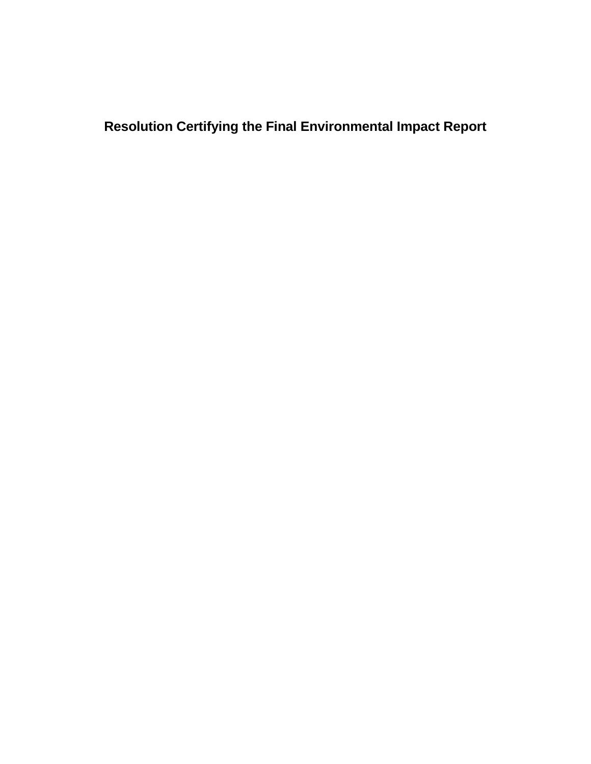**Resolution Certifying the Final Environmental Impact Report**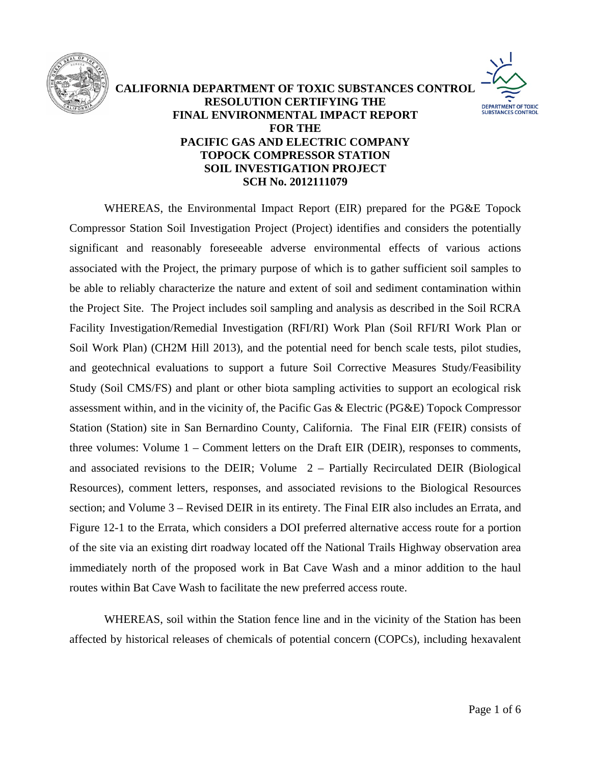

## **CALIFORNIA DEPARTMENT OF TOXIC SUBSTANCES CONTROL RESOLUTION CERTIFYING THE DEPARTMENT OF TOXIC**<br>SUBSTANCES CONTROL **FINAL ENVIRONMENTAL IMPACT REPORT FOR THE PACIFIC GAS AND ELECTRIC COMPANY TOPOCK COMPRESSOR STATION SOIL INVESTIGATION PROJECT**



WHEREAS, soil within the Station fence line and in the vicinity of the Station has been affected by historical releases of chemicals of potential concern (COPCs), including hexavalent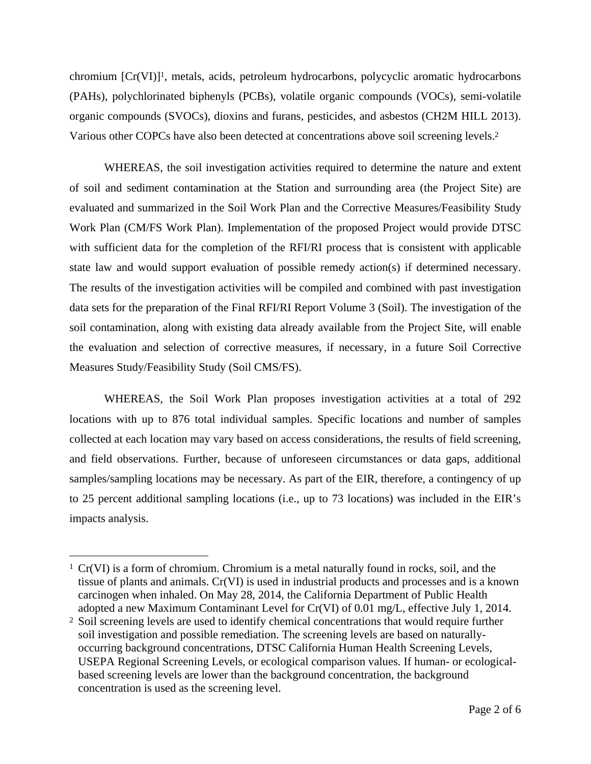chromium [Cr(VI)]1, metals, acids, petroleum hydrocarbons, polycyclic aromatic hydrocarbons (PAHs), polychlorinated biphenyls (PCBs), volatile organic compounds (VOCs), semi-volatile organic compounds (SVOCs), dioxins and furans, pesticides, and asbestos (CH2M HILL 2013). Various other COPCs have also been detected at concentrations above soil screening levels.2

WHEREAS, the soil investigation activities required to determine the nature and extent of soil and sediment contamination at the Station and surrounding area (the Project Site) are evaluated and summarized in the Soil Work Plan and the Corrective Measures/Feasibility Study Work Plan (CM/FS Work Plan). Implementation of the proposed Project would provide DTSC with sufficient data for the completion of the RFI/RI process that is consistent with applicable state law and would support evaluation of possible remedy action(s) if determined necessary. The results of the investigation activities will be compiled and combined with past investigation data sets for the preparation of the Final RFI/RI Report Volume 3 (Soil). The investigation of the soil contamination, along with existing data already available from the Project Site, will enable the evaluation and selection of corrective measures, if necessary, in a future Soil Corrective Measures Study/Feasibility Study (Soil CMS/FS).

WHEREAS, the Soil Work Plan proposes investigation activities at a total of 292 locations with up to 876 total individual samples. Specific locations and number of samples collected at each location may vary based on access considerations, the results of field screening, and field observations. Further, because of unforeseen circumstances or data gaps, additional samples/sampling locations may be necessary. As part of the EIR, therefore, a contingency of up to 25 percent additional sampling locations (i.e., up to 73 locations) was included in the EIR's impacts analysis.

 $\overline{a}$ 

<sup>1</sup> Cr(VI) is a form of chromium. Chromium is a metal naturally found in rocks, soil, and the tissue of plants and animals. Cr(VI) is used in industrial products and processes and is a known carcinogen when inhaled. On May 28, 2014, the California Department of Public Health adopted a new Maximum Contaminant Level for Cr(VI) of 0.01 mg/L, effective July 1, 2014.

<sup>&</sup>lt;sup>2</sup> Soil screening levels are used to identify chemical concentrations that would require further soil investigation and possible remediation. The screening levels are based on naturallyoccurring background concentrations, DTSC California Human Health Screening Levels, USEPA Regional Screening Levels, or ecological comparison values. If human- or ecologicalbased screening levels are lower than the background concentration, the background concentration is used as the screening level.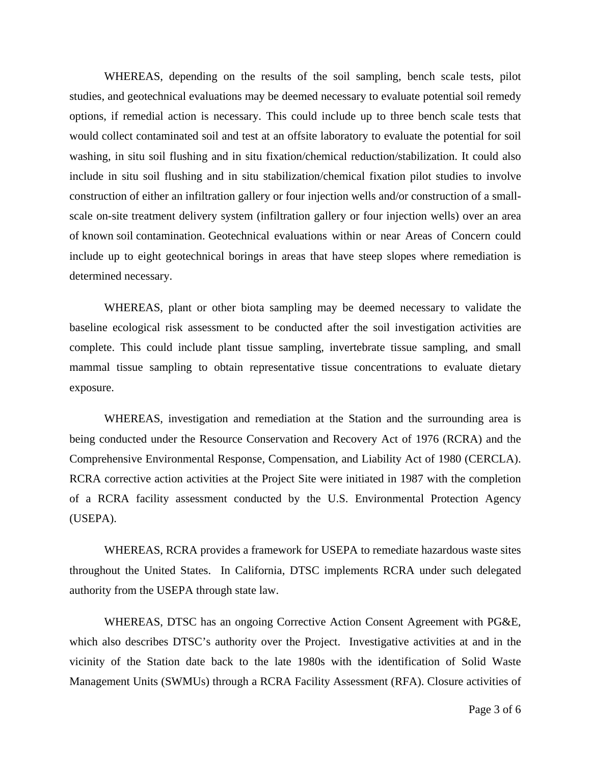WHEREAS, depending on the results of the soil sampling, bench scale tests, pilot studies, and geotechnical evaluations may be deemed necessary to evaluate potential soil remedy options, if remedial action is necessary. This could include up to three bench scale tests that would collect contaminated soil and test at an offsite laboratory to evaluate the potential for soil washing, in situ soil flushing and in situ fixation/chemical reduction/stabilization. It could also include in situ soil flushing and in situ stabilization/chemical fixation pilot studies to involve construction of either an infiltration gallery or four injection wells and/or construction of a smallscale on-site treatment delivery system (infiltration gallery or four injection wells) over an area of known soil contamination. Geotechnical evaluations within or near Areas of Concern could include up to eight geotechnical borings in areas that have steep slopes where remediation is determined necessary.

WHEREAS, plant or other biota sampling may be deemed necessary to validate the baseline ecological risk assessment to be conducted after the soil investigation activities are complete. This could include plant tissue sampling, invertebrate tissue sampling, and small mammal tissue sampling to obtain representative tissue concentrations to evaluate dietary exposure.

WHEREAS, investigation and remediation at the Station and the surrounding area is being conducted under the Resource Conservation and Recovery Act of 1976 (RCRA) and the Comprehensive Environmental Response, Compensation, and Liability Act of 1980 (CERCLA). RCRA corrective action activities at the Project Site were initiated in 1987 with the completion of a RCRA facility assessment conducted by the U.S. Environmental Protection Agency (USEPA).

 WHEREAS, RCRA provides a framework for USEPA to remediate hazardous waste sites throughout the United States. In California, DTSC implements RCRA under such delegated authority from the USEPA through state law.

WHEREAS, DTSC has an ongoing Corrective Action Consent Agreement with PG&E, which also describes DTSC's authority over the Project. Investigative activities at and in the vicinity of the Station date back to the late 1980s with the identification of Solid Waste Management Units (SWMUs) through a RCRA Facility Assessment (RFA). Closure activities of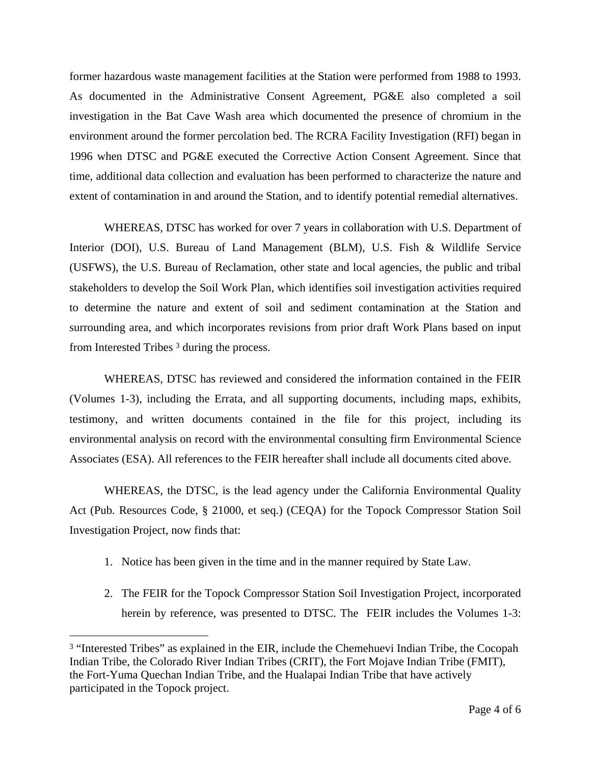former hazardous waste management facilities at the Station were performed from 1988 to 1993. As documented in the Administrative Consent Agreement, PG&E also completed a soil investigation in the Bat Cave Wash area which documented the presence of chromium in the environment around the former percolation bed. The RCRA Facility Investigation (RFI) began in 1996 when DTSC and PG&E executed the Corrective Action Consent Agreement. Since that time, additional data collection and evaluation has been performed to characterize the nature and extent of contamination in and around the Station, and to identify potential remedial alternatives.

WHEREAS, DTSC has worked for over 7 years in collaboration with U.S. Department of Interior (DOI), U.S. Bureau of Land Management (BLM), U.S. Fish & Wildlife Service (USFWS), the U.S. Bureau of Reclamation, other state and local agencies, the public and tribal stakeholders to develop the Soil Work Plan, which identifies soil investigation activities required to determine the nature and extent of soil and sediment contamination at the Station and surrounding area, and which incorporates revisions from prior draft Work Plans based on input from Interested Tribes 3 during the process.

WHEREAS, DTSC has reviewed and considered the information contained in the FEIR (Volumes 1-3), including the Errata, and all supporting documents, including maps, exhibits, testimony, and written documents contained in the file for this project, including its environmental analysis on record with the environmental consulting firm Environmental Science Associates (ESA). All references to the FEIR hereafter shall include all documents cited above.

WHEREAS, the DTSC, is the lead agency under the California Environmental Quality Act (Pub. Resources Code, § 21000, et seq.) (CEQA) for the Topock Compressor Station Soil Investigation Project, now finds that:

- 1. Notice has been given in the time and in the manner required by State Law.
- 2. The FEIR for the Topock Compressor Station Soil Investigation Project, incorporated herein by reference, was presented to DTSC. The FEIR includes the Volumes 1-3:

 $\overline{a}$ 

<sup>&</sup>lt;sup>3</sup> "Interested Tribes" as explained in the EIR, include the Chemehuevi Indian Tribe, the Cocopah Indian Tribe, the Colorado River Indian Tribes (CRIT), the Fort Mojave Indian Tribe (FMIT), the Fort-Yuma Quechan Indian Tribe, and the Hualapai Indian Tribe that have actively participated in the Topock project.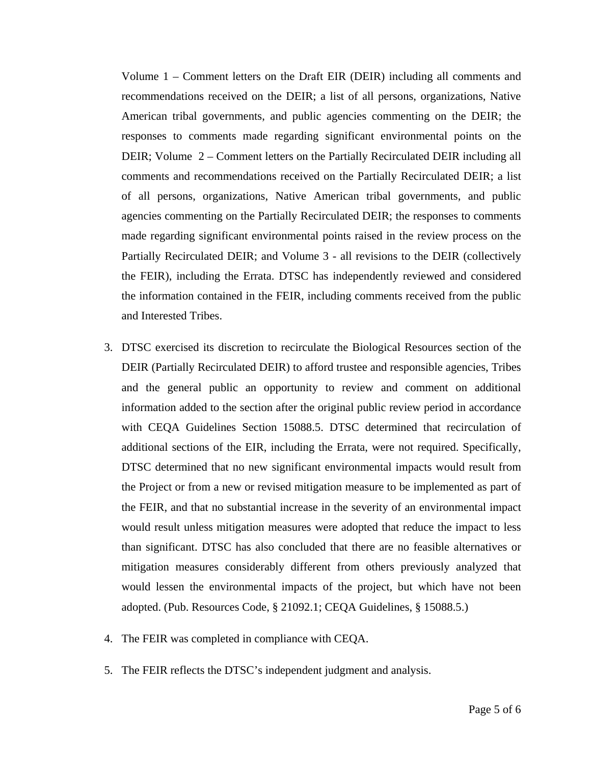Volume 1 – Comment letters on the Draft EIR (DEIR) including all comments and recommendations received on the DEIR; a list of all persons, organizations, Native American tribal governments, and public agencies commenting on the DEIR; the responses to comments made regarding significant environmental points on the DEIR; Volume 2 – Comment letters on the Partially Recirculated DEIR including all comments and recommendations received on the Partially Recirculated DEIR; a list of all persons, organizations, Native American tribal governments, and public agencies commenting on the Partially Recirculated DEIR; the responses to comments made regarding significant environmental points raised in the review process on the Partially Recirculated DEIR; and Volume 3 - all revisions to the DEIR (collectively the FEIR), including the Errata. DTSC has independently reviewed and considered the information contained in the FEIR, including comments received from the public and Interested Tribes.

- 3. DTSC exercised its discretion to recirculate the Biological Resources section of the DEIR (Partially Recirculated DEIR) to afford trustee and responsible agencies, Tribes and the general public an opportunity to review and comment on additional information added to the section after the original public review period in accordance with CEQA Guidelines Section 15088.5. DTSC determined that recirculation of additional sections of the EIR, including the Errata, were not required. Specifically, DTSC determined that no new significant environmental impacts would result from the Project or from a new or revised mitigation measure to be implemented as part of the FEIR, and that no substantial increase in the severity of an environmental impact would result unless mitigation measures were adopted that reduce the impact to less than significant. DTSC has also concluded that there are no feasible alternatives or mitigation measures considerably different from others previously analyzed that would lessen the environmental impacts of the project, but which have not been adopted. (Pub. Resources Code, § 21092.1; CEQA Guidelines, § 15088.5.)
- 4. The FEIR was completed in compliance with CEQA.
- 5. The FEIR reflects the DTSC's independent judgment and analysis.